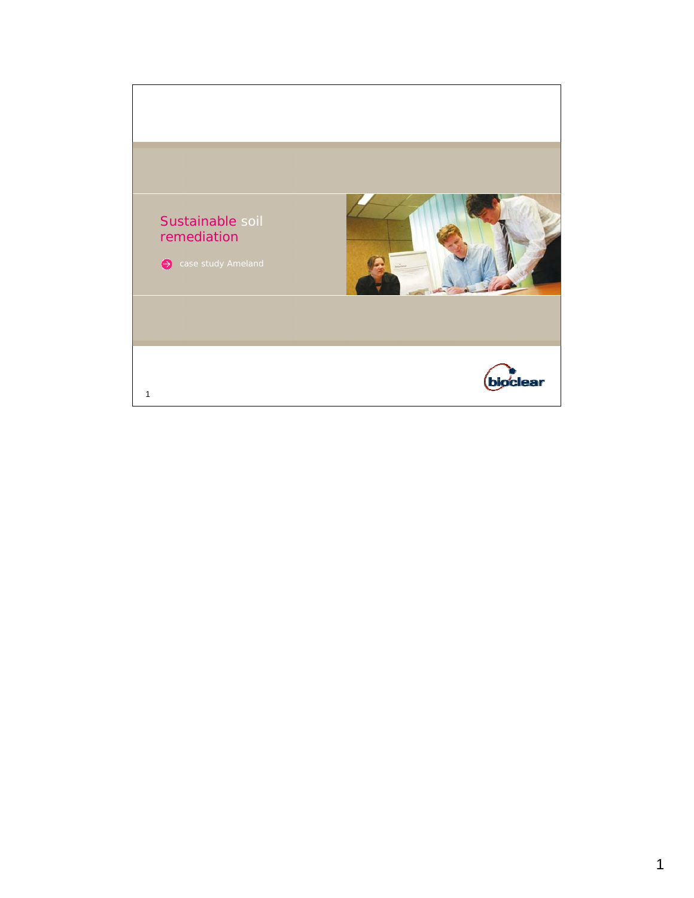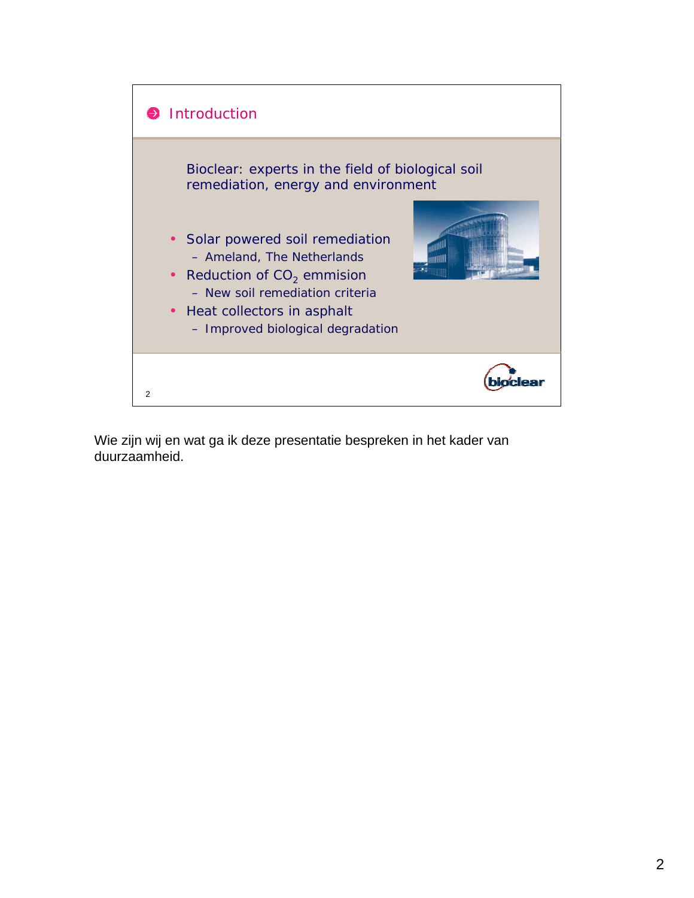

Wie zijn wij en wat ga ik deze presentatie bespreken in het kader van duurzaamheid.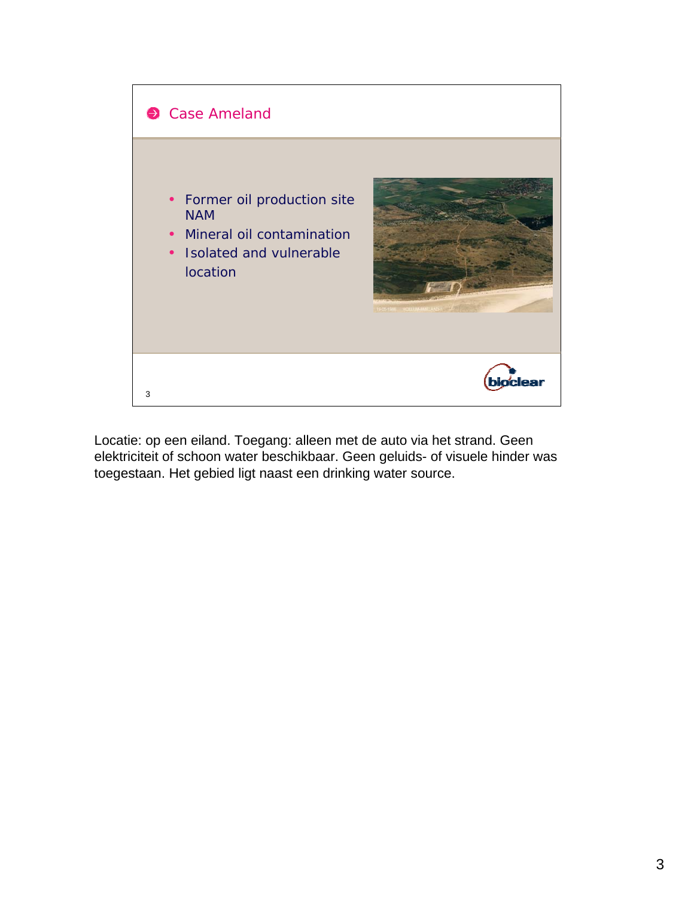

Locatie: op een eiland. Toegang: alleen met de auto via het strand. Geen elektriciteit of schoon water beschikbaar. Geen geluids- of visuele hinder was toegestaan. Het gebied ligt naast een drinking water source.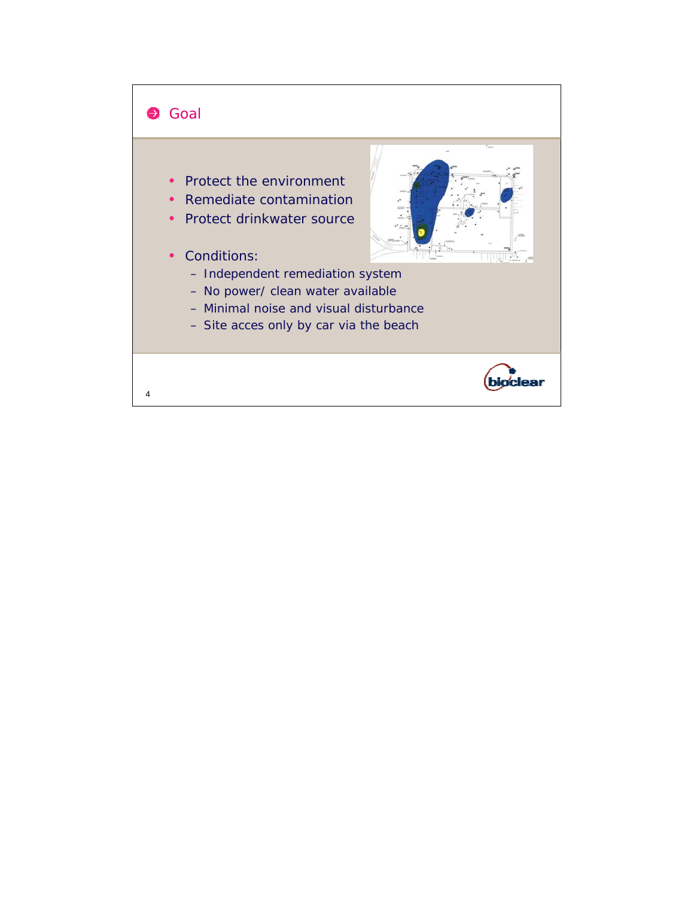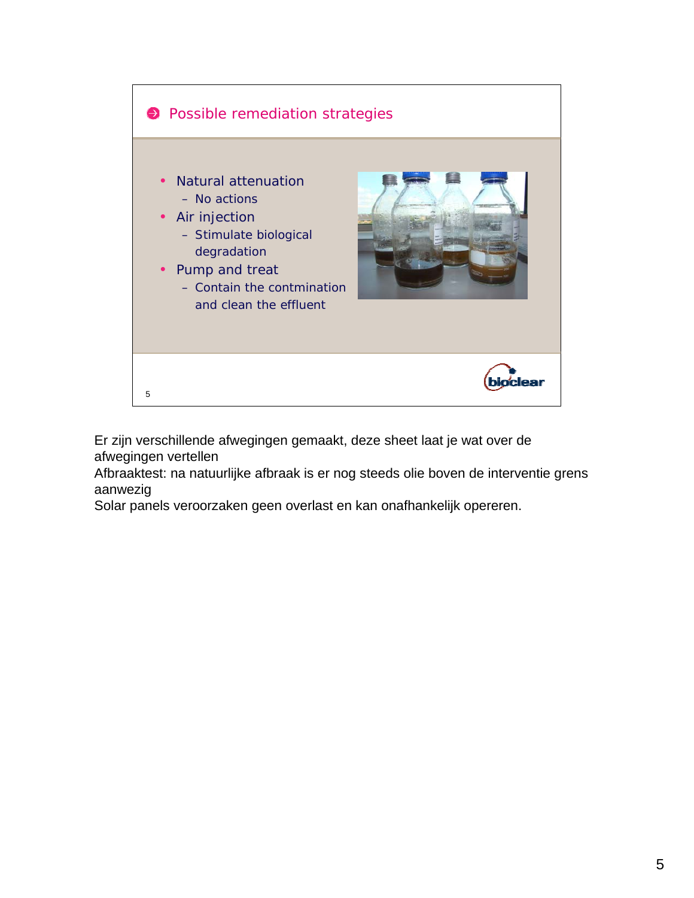

Er zijn verschillende afwegingen gemaakt, deze sheet laat je wat over de afwegingen vertellen

Afbraaktest: na natuurlijke afbraak is er nog steeds olie boven de interventie grens aanwezig

Solar panels veroorzaken geen overlast en kan onafhankelijk opereren.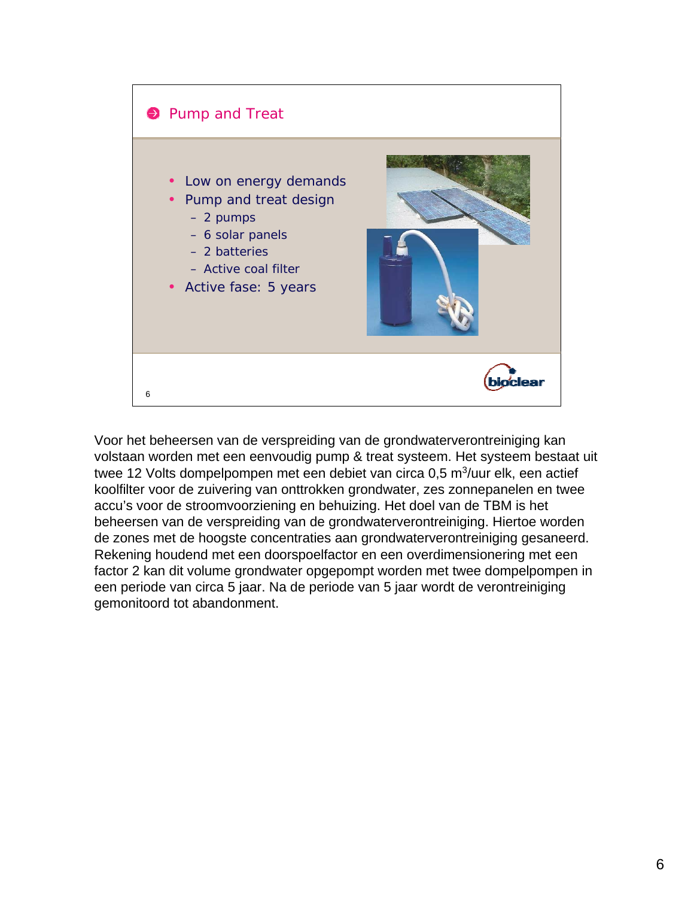

Voor het beheersen van de verspreiding van de grondwaterverontreiniging kan volstaan worden met een eenvoudig pump & treat systeem. Het systeem bestaat uit twee 12 Volts dompelpompen met een debiet van circa 0,5 m $3$ /uur elk, een actief koolfilter voor de zuivering van onttrokken grondwater, zes zonnepanelen en twee accu's voor de stroomvoorziening en behuizing. Het doel van de TBM is het beheersen van de verspreiding van de grondwaterverontreiniging. Hiertoe worden de zones met de hoogste concentraties aan grondwaterverontreiniging gesaneerd. Rekening houdend met een doorspoelfactor en een overdimensionering met een factor 2 kan dit volume grondwater opgepompt worden met twee dompelpompen in een periode van circa 5 jaar. Na de periode van 5 jaar wordt de verontreiniging gemonitoord tot abandonment.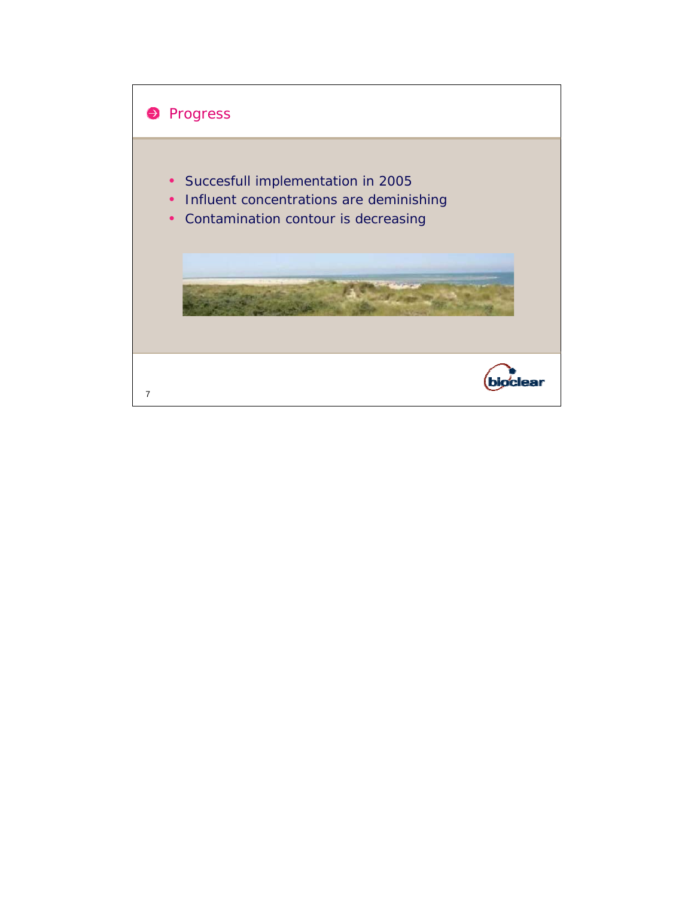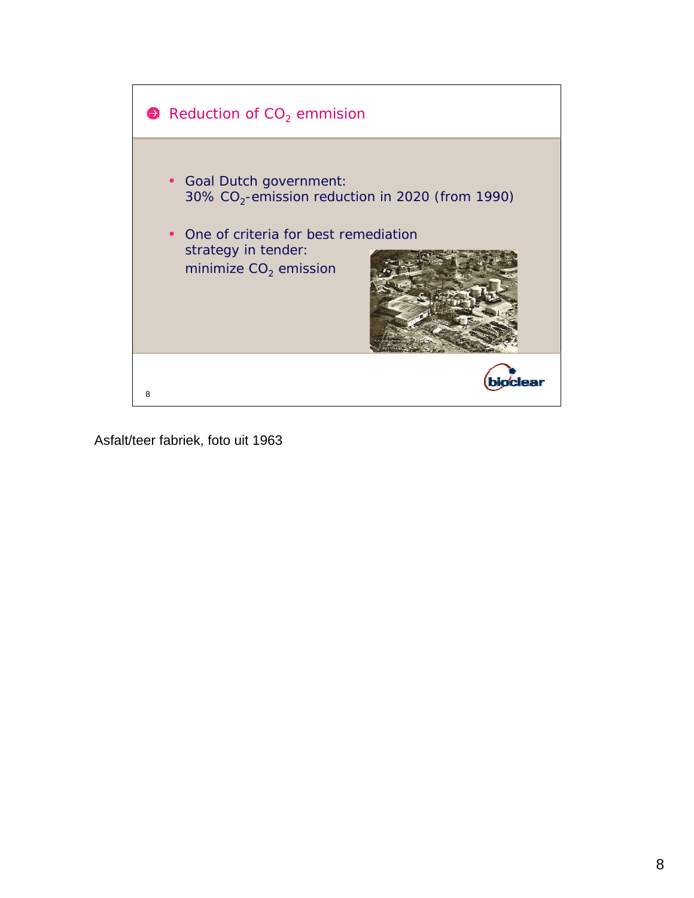

Asfalt/teer fabriek, foto uit 1963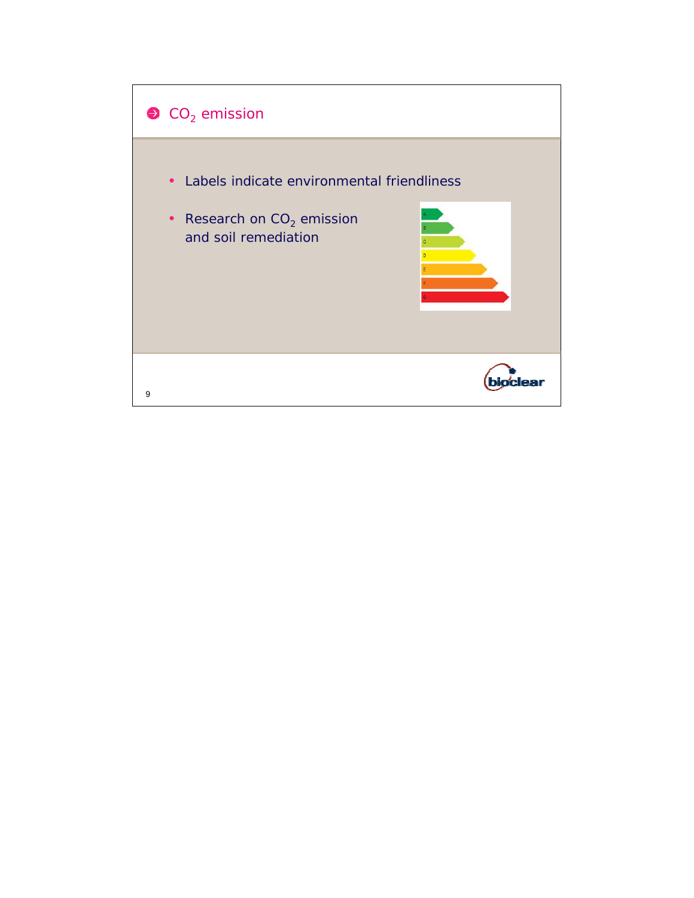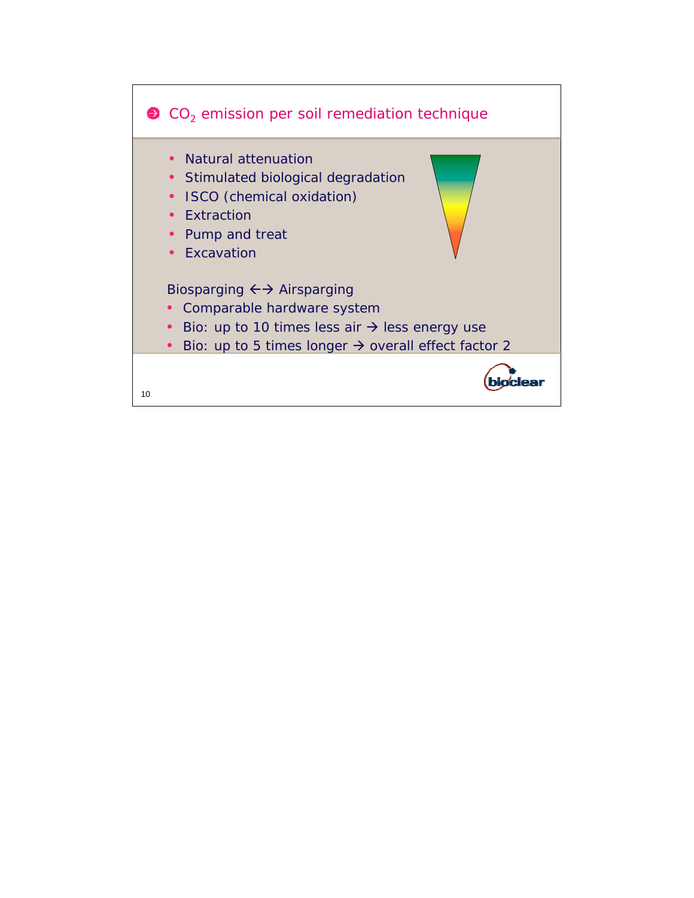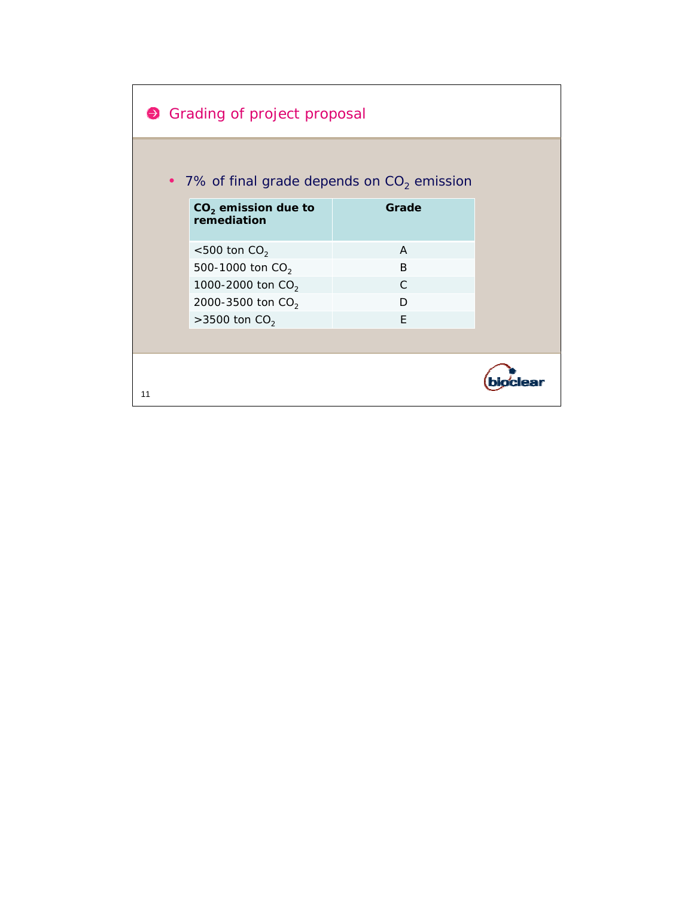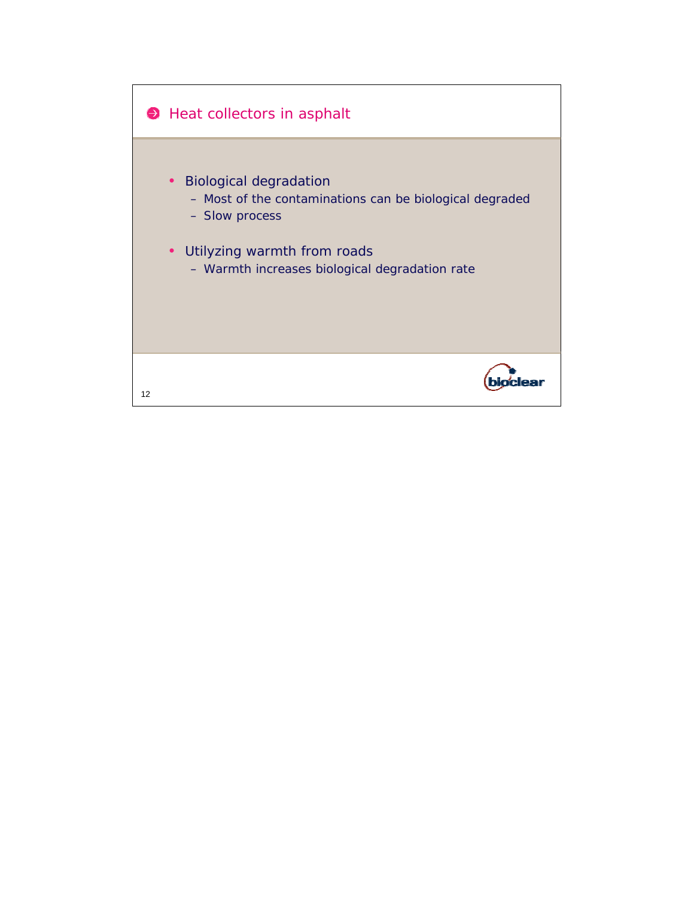